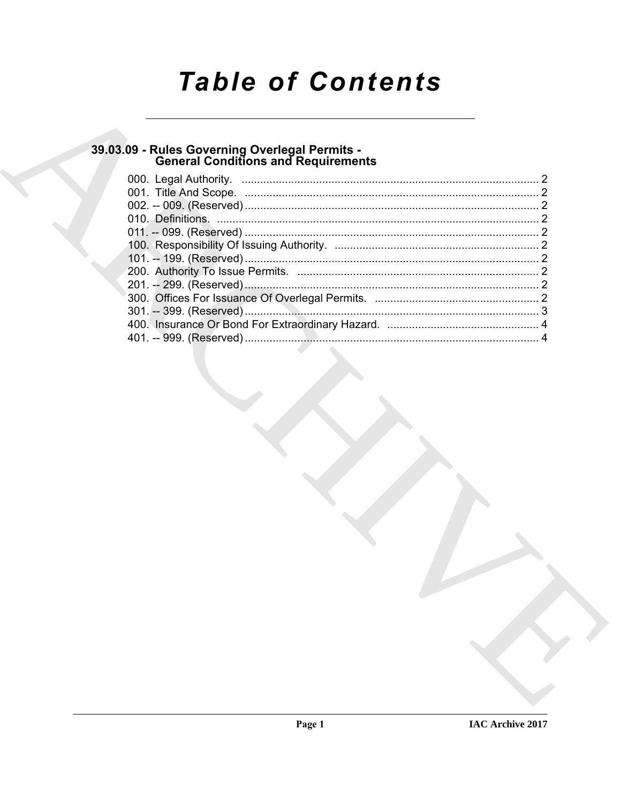# **Table of Contents**

## 39.03.09 - Rules Governing Overlegal Permits -<br>General Conditions and Requirements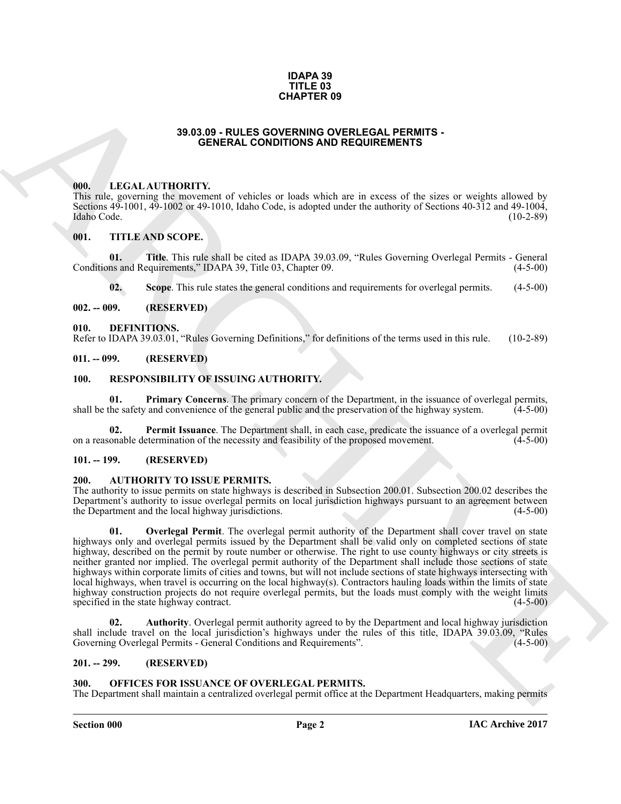#### **IDAPA 39 TITLE 03 CHAPTER 09**

#### **39.03.09 - RULES GOVERNING OVERLEGAL PERMITS - GENERAL CONDITIONS AND REQUIREMENTS**

#### <span id="page-1-1"></span><span id="page-1-0"></span>**000. LEGAL AUTHORITY.**

This rule, governing the movement of vehicles or loads which are in excess of the sizes or weights allowed by Sections 49-1001, 49-1002 or 49-1010, Idaho Code, is adopted under the authority of Sections 40-312 and 49-1004,<br>Idaho Code. (10-2-89) Idaho Code. (10-2-89)

### <span id="page-1-2"></span>**001. TITLE AND SCOPE.**

**01.** Title. This rule shall be cited as IDAPA 39.03.09, "Rules Governing Overlegal Permits - General ns and Requirements," IDAPA 39, Title 03, Chapter 09. (4-5-00) Conditions and Requirements," IDAPA 39, Title 03, Chapter 09.

<span id="page-1-14"></span>**02.** Scope. This rule states the general conditions and requirements for overlegal permits. (4-5-00)

#### <span id="page-1-3"></span>**002. -- 009. (RESERVED)**

#### <span id="page-1-4"></span>**010. DEFINITIONS.**

Refer to IDAPA 39.03.01, "Rules Governing Definitions," for definitions of the terms used in this rule. (10-2-89)

#### <span id="page-1-5"></span>**011. -- 099. (RESERVED)**

#### <span id="page-1-16"></span><span id="page-1-6"></span>**100. RESPONSIBILITY OF ISSUING AUTHORITY.**

<span id="page-1-18"></span>**01. Primary Concerns**. The primary concern of the Department, in the issuance of overlegal permits, the safety and convenience of the general public and the preservation of the highway system. (4-5-00) shall be the safety and convenience of the general public and the preservation of the highway system.

<span id="page-1-17"></span>**02. Permit Issuance**. The Department shall, in each case, predicate the issuance of a overlegal permit onable determination of the necessity and feasibility of the proposed movement. (4-5-00) on a reasonable determination of the necessity and feasibility of the proposed movement.

#### <span id="page-1-7"></span>**101. -- 199. (RESERVED)**

#### <span id="page-1-11"></span><span id="page-1-8"></span>**200. AUTHORITY TO ISSUE PERMITS.**

<span id="page-1-13"></span>The authority to issue permits on state highways is described in Subsection 200.01. Subsection 200.02 describes the Department's authority to issue overlegal permits on local jurisdiction highways pursuant to an agreement between the Department and the local highway jurisdictions. (4-5-00)

**33.0.09 - PULES VAPTER OS<br>
33.0.09 - PULES VAPTER OS CONDITIVES -<br>
16 - LEVEN AT THORITY, LEVEN AT A CONDITIONS AND REGUIREMENTS<br>
16 - LEVEN AT THORITY, LEVEN AT A CONDITIONS AND REGUIREMENTS<br>
16 - LEVEN AT THE AND SCOPE 01. Overlegal Permit**. The overlegal permit authority of the Department shall cover travel on state highways only and overlegal permits issued by the Department shall be valid only on completed sections of state highway, described on the permit by route number or otherwise. The right to use county highways or city streets is neither granted nor implied. The overlegal permit authority of the Department shall include those sections of state highways within corporate limits of cities and towns, but will not include sections of state highways intersecting with local highways, when travel is occurring on the local highway(s). Contractors hauling loads within the limits of state highway construction projects do not require overlegal permits, but the loads must comply with the weight limits specified in the state highway contract. specified in the state highway contract.

<span id="page-1-12"></span>**02. Authority**. Overlegal permit authority agreed to by the Department and local highway jurisdiction shall include travel on the local jurisdiction's highways under the rules of this title, IDAPA 39.03.09, "Rules Governing Overlegal Permits - General Conditions and Requirements". (4-5-00) Governing Overlegal Permits - General Conditions and Requirements".

#### <span id="page-1-9"></span>**201. -- 299. (RESERVED)**

#### <span id="page-1-15"></span><span id="page-1-10"></span>**300. OFFICES FOR ISSUANCE OF OVERLEGAL PERMITS.**

The Department shall maintain a centralized overlegal permit office at the Department Headquarters, making permits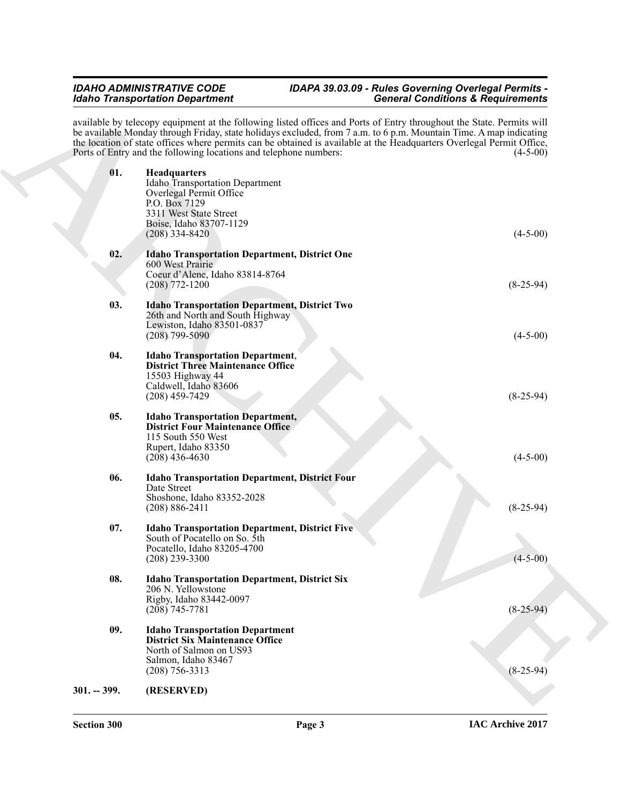#### <span id="page-2-9"></span><span id="page-2-8"></span><span id="page-2-7"></span><span id="page-2-6"></span><span id="page-2-5"></span><span id="page-2-4"></span><span id="page-2-3"></span><span id="page-2-2"></span><span id="page-2-1"></span>*IDAHO ADMINISTRATIVE CODE IDAPA 39.03.09 - Rules Governing Overlegal Permits - Idaho Transportation Department General Conditions & Requirements*

<span id="page-2-0"></span>

| <b>General Conditions &amp; Requirements</b> | <b>Idaho Transportation Department</b>                                                                                                                                                                                                                                                                                                                                                                                                    |
|----------------------------------------------|-------------------------------------------------------------------------------------------------------------------------------------------------------------------------------------------------------------------------------------------------------------------------------------------------------------------------------------------------------------------------------------------------------------------------------------------|
| $(4-5-00)$                                   | available by telecopy equipment at the following listed offices and Ports of Entry throughout the State. Permits will<br>be available Monday through Friday, state holidays excluded, from 7 a.m. to 6 p.m. Mountain Time. A map indicating<br>the location of state offices where permits can be obtained is available at the Headquarters Overlegal Permit Office,<br>Ports of Entry and the following locations and telephone numbers: |
| $(4-5-00)$                                   | 01.<br><b>Headquarters</b><br><b>Idaho</b> Transportation Department<br>Overlegal Permit Office<br>P.O. Box 7129<br>3311 West State Street<br>Boise, Idaho 83707-1129<br>$(208)$ 334-8420                                                                                                                                                                                                                                                 |
| $(8-25-94)$                                  | 02.<br><b>Idaho Transportation Department, District One</b><br>600 West Prairie<br>Coeur d'Alene, Idaho 83814-8764<br>$(208)$ 772-1200                                                                                                                                                                                                                                                                                                    |
| $(4-5-00)$                                   | 03.<br><b>Idaho Transportation Department, District Two</b><br>26th and North and South Highway<br>Lewiston, Idaho 83501-0837<br>$(208)$ 799-5090                                                                                                                                                                                                                                                                                         |
| $(8-25-94)$                                  | 04.<br><b>Idaho Transportation Department,</b><br><b>District Three Maintenance Office</b><br>15503 Highway 44<br>Caldwell, Idaho 83606<br>$(208)$ 459-7429                                                                                                                                                                                                                                                                               |
| $(4-5-00)$                                   | 05.<br><b>Idaho Transportation Department,</b><br><b>District Four Maintenance Office</b><br>115 South 550 West<br>Rupert, Idaho 83350<br>$(208)$ 436-4630                                                                                                                                                                                                                                                                                |
| $(8-25-94)$                                  | 06.<br><b>Idaho Transportation Department, District Four</b><br>Date Street<br>Shoshone, Idaho 83352-2028<br>$(208) 886 - 2411$                                                                                                                                                                                                                                                                                                           |
| $(4 - 5 - 00)$                               | 07.<br><b>Idaho Transportation Department, District Five</b><br>South of Pocatello on So. 5th<br>Pocatello, Idaho 83205-4700<br>$(208)$ 239-3300                                                                                                                                                                                                                                                                                          |
| $(8-25-94)$                                  | 08.<br><b>Idaho Transportation Department, District Six</b><br>206 N. Yellowstone<br>Rigby, Idaho 83442-0097<br>$(208)$ 745-7781                                                                                                                                                                                                                                                                                                          |
| $(8-25-94)$                                  | 09.<br><b>Idaho Transportation Department</b><br><b>District Six Maintenance Office</b><br>North of Salmon on US93<br>Salmon, Idaho 83467<br>$(208)$ 756-3313                                                                                                                                                                                                                                                                             |
|                                              | $301. - 399.$<br>(RESERVED)                                                                                                                                                                                                                                                                                                                                                                                                               |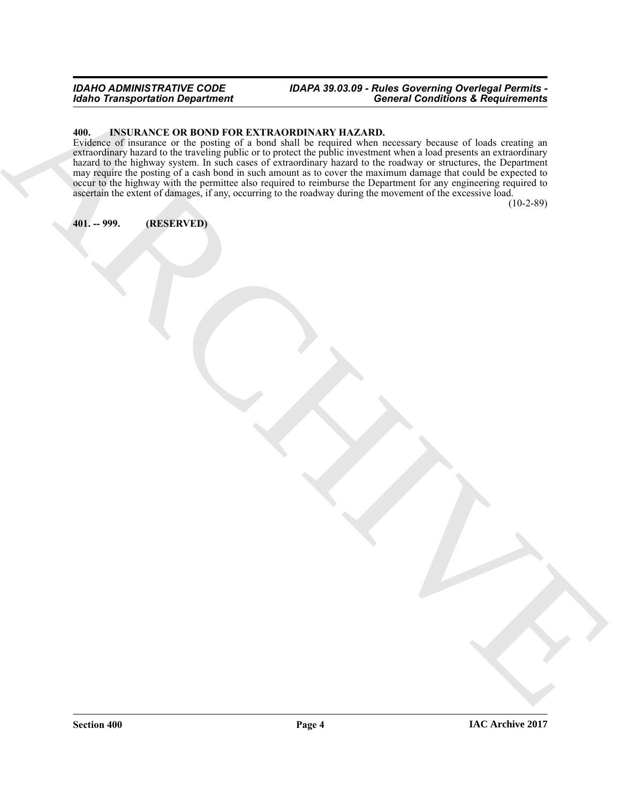### *IDAHO ADMINISTRATIVE CODE IDAPA 39.03.09 - Rules Governing Overlegal Permits - General Conditions & Requirements*

### <span id="page-3-2"></span><span id="page-3-0"></span>**400. INSURANCE OR BOND FOR EXTRAORDINARY HAZARD.**

For The Lagrantino Department<br>
ARCHIVECTOR (NEW YORK THE COMPANY INTO A REAL FIELD COMPANY INTO A REAL FIELD COMPANY INTO A REAL FIELD OF THE<br>
NAME OF THE CONFIDENTIAL CONTINUES INTO A REAL FIELD OF THE CONFIDENT OF THE CO Evidence of insurance or the posting of a bond shall be required when necessary because of loads creating an extraordinary hazard to the traveling public or to protect the public investment when a load presents an extraordinary hazard to the highway system. In such cases of extraordinary hazard to the roadway or structures, the Department may require the posting of a cash bond in such amount as to cover the maximum damage that could be expected to occur to the highway with the permittee also required to reimburse the Department for any engineering required to ascertain the extent of damages, if any, occurring to the roadway during the movement of the excessive load.

(10-2-89)

<span id="page-3-1"></span>**401. -- 999. (RESERVED)**